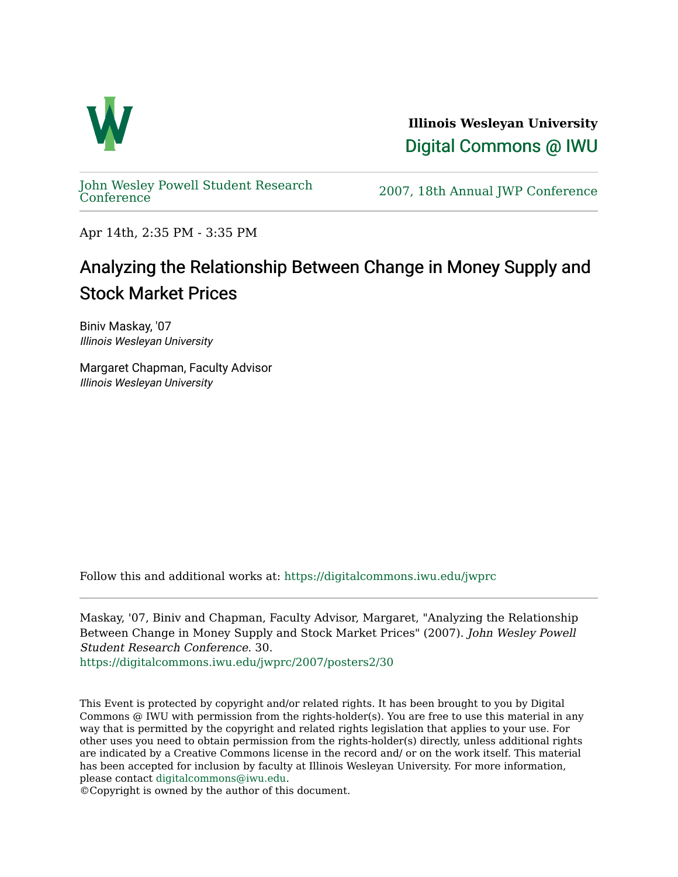

**Illinois Wesleyan University**  [Digital Commons @ IWU](https://digitalcommons.iwu.edu/) 

[John Wesley Powell Student Research](https://digitalcommons.iwu.edu/jwprc) 

2007, 18th Annual JWP [Conference](https://digitalcommons.iwu.edu/jwprc)

Apr 14th, 2:35 PM - 3:35 PM

## Analyzing the Relationship Between Change in Money Supply and Stock Market Prices

Biniv Maskay, '07 Illinois Wesleyan University

Margaret Chapman, Faculty Advisor Illinois Wesleyan University

Follow this and additional works at: [https://digitalcommons.iwu.edu/jwprc](https://digitalcommons.iwu.edu/jwprc?utm_source=digitalcommons.iwu.edu%2Fjwprc%2F2007%2Fposters2%2F30&utm_medium=PDF&utm_campaign=PDFCoverPages) 

Maskay, '07, Biniv and Chapman, Faculty Advisor, Margaret, "Analyzing the Relationship Between Change in Money Supply and Stock Market Prices" (2007). John Wesley Powell Student Research Conference. 30.

[https://digitalcommons.iwu.edu/jwprc/2007/posters2/30](https://digitalcommons.iwu.edu/jwprc/2007/posters2/30?utm_source=digitalcommons.iwu.edu%2Fjwprc%2F2007%2Fposters2%2F30&utm_medium=PDF&utm_campaign=PDFCoverPages) 

This Event is protected by copyright and/or related rights. It has been brought to you by Digital Commons @ IWU with permission from the rights-holder(s). You are free to use this material in any way that is permitted by the copyright and related rights legislation that applies to your use. For other uses you need to obtain permission from the rights-holder(s) directly, unless additional rights are indicated by a Creative Commons license in the record and/ or on the work itself. This material has been accepted for inclusion by faculty at Illinois Wesleyan University. For more information, please contact [digitalcommons@iwu.edu.](mailto:digitalcommons@iwu.edu)

©Copyright is owned by the author of this document.